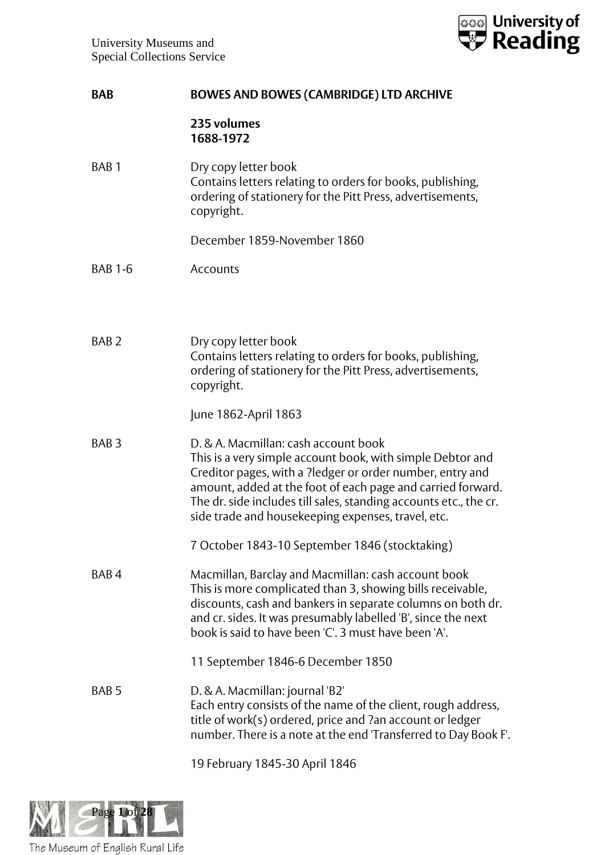

## **235 volumes 1688-1972**

BAB 1 Dry copy letter book Contains letters relating to orders for books, publishing, ordering of stationery for the Pitt Press, advertisements, copyright.

December 1859-November 1860

- BAB 1-6 Accounts
- BAB 2 Dry copy letter book Contains letters relating to orders for books, publishing, ordering of stationery for the Pitt Press, advertisements, copyright.

June 1862-April 1863

BAB 3 D. & A. Macmillan: cash account book This is a very simple account book, with simple Debtor and Creditor pages, with a ?ledger or order number, entry and amount, added at the foot of each page and carried forward. The dr. side includes till sales, standing accounts etc., the cr. side trade and housekeeping expenses, travel, etc.

7 October 1843-10 September 1846 (stocktaking)

BAB 4 Macmillan, Barclay and Macmillan: cash account book This is more complicated than 3, showing bills receivable, discounts, cash and bankers in separate columns on both dr. and cr. sides. It was presumably labelled 'B', since the next book is said to have been 'C'. 3 must have been 'A'.

11 September 1846-6 December 1850

BAB 5 D. & A. Macmillan: journal 'B2' Each entry consists of the name of the client, rough address, title of work(s) ordered, price and ?an account or ledger number. There is a note at the end 'Transferred to Day Book F'.

19 February 1845-30 April 1846

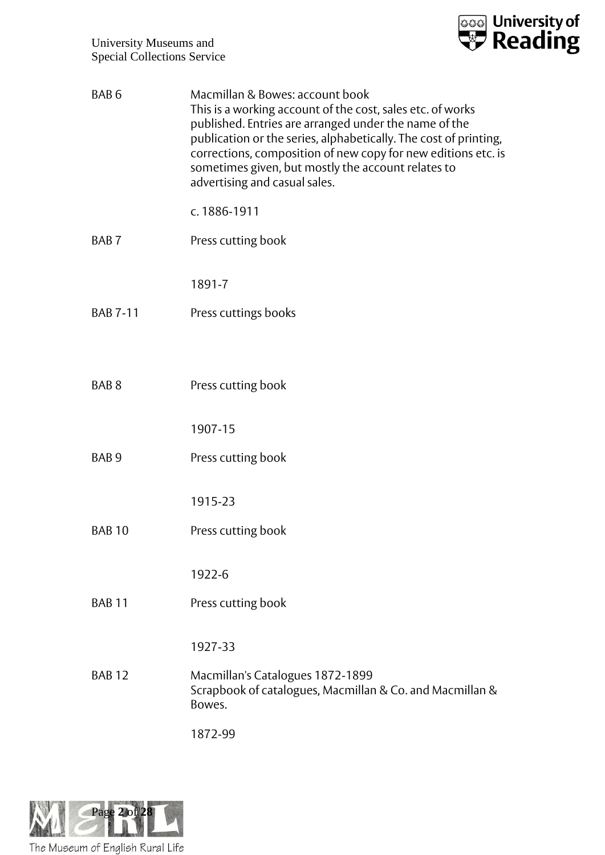

| BAB <sub>6</sub> | Macmillan & Bowes: account book<br>This is a working account of the cost, sales etc. of works<br>published. Entries are arranged under the name of the<br>publication or the series, alphabetically. The cost of printing,<br>corrections, composition of new copy for new editions etc. is<br>sometimes given, but mostly the account relates to<br>advertising and casual sales. |
|------------------|------------------------------------------------------------------------------------------------------------------------------------------------------------------------------------------------------------------------------------------------------------------------------------------------------------------------------------------------------------------------------------|
|                  | c. 1886-1911                                                                                                                                                                                                                                                                                                                                                                       |
| BAB <sub>7</sub> | Press cutting book                                                                                                                                                                                                                                                                                                                                                                 |
|                  | 1891-7                                                                                                                                                                                                                                                                                                                                                                             |
| <b>BAB 7-11</b>  | Press cuttings books                                                                                                                                                                                                                                                                                                                                                               |
|                  |                                                                                                                                                                                                                                                                                                                                                                                    |
| BAB <sub>8</sub> | Press cutting book                                                                                                                                                                                                                                                                                                                                                                 |
|                  | 1907-15                                                                                                                                                                                                                                                                                                                                                                            |
| BAB <sub>9</sub> | Press cutting book                                                                                                                                                                                                                                                                                                                                                                 |
|                  | 1915-23                                                                                                                                                                                                                                                                                                                                                                            |
| <b>BAB 10</b>    | Press cutting book                                                                                                                                                                                                                                                                                                                                                                 |
|                  |                                                                                                                                                                                                                                                                                                                                                                                    |
|                  | 1922-6                                                                                                                                                                                                                                                                                                                                                                             |
| <b>BAB 11</b>    | Press cutting book                                                                                                                                                                                                                                                                                                                                                                 |
|                  | 1927-33                                                                                                                                                                                                                                                                                                                                                                            |
| <b>BAB12</b>     | Macmillan's Catalogues 1872-1899<br>Scrapbook of catalogues, Macmillan & Co. and Macmillan &<br>Bowes.                                                                                                                                                                                                                                                                             |
|                  | 1872-99                                                                                                                                                                                                                                                                                                                                                                            |

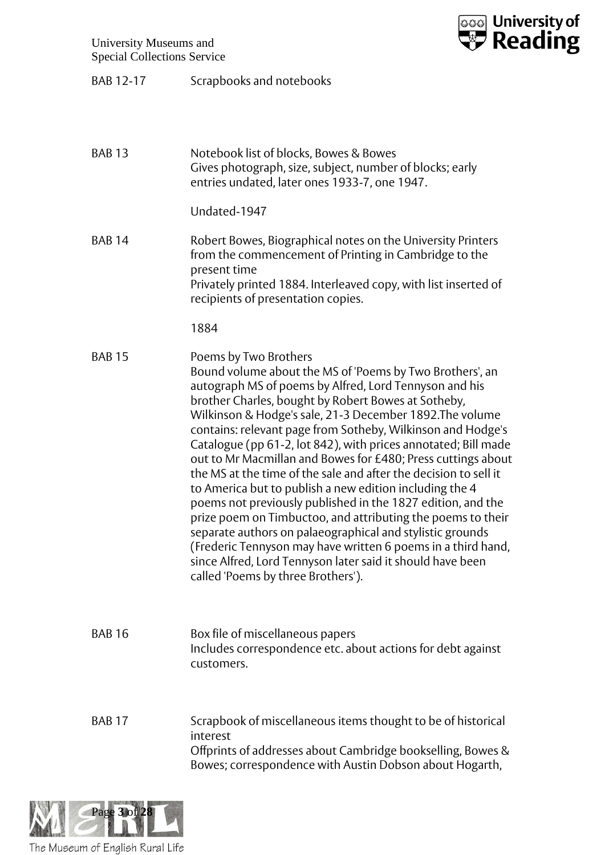

BAB 12-17 Scrapbooks and notebooks

| <b>BAB13</b>  | Notebook list of blocks, Bowes & Bowes<br>Gives photograph, size, subject, number of blocks; early<br>entries undated, later ones 1933-7, one 1947.                                                                                                                                                                                                                                                                                                                                                                                                                                                                                                                                                                                                                                                                                                                                                                                                           |
|---------------|---------------------------------------------------------------------------------------------------------------------------------------------------------------------------------------------------------------------------------------------------------------------------------------------------------------------------------------------------------------------------------------------------------------------------------------------------------------------------------------------------------------------------------------------------------------------------------------------------------------------------------------------------------------------------------------------------------------------------------------------------------------------------------------------------------------------------------------------------------------------------------------------------------------------------------------------------------------|
|               | Undated-1947                                                                                                                                                                                                                                                                                                                                                                                                                                                                                                                                                                                                                                                                                                                                                                                                                                                                                                                                                  |
| <b>BAB 14</b> | Robert Bowes, Biographical notes on the University Printers<br>from the commencement of Printing in Cambridge to the<br>present time<br>Privately printed 1884. Interleaved copy, with list inserted of<br>recipients of presentation copies.                                                                                                                                                                                                                                                                                                                                                                                                                                                                                                                                                                                                                                                                                                                 |
|               | 1884                                                                                                                                                                                                                                                                                                                                                                                                                                                                                                                                                                                                                                                                                                                                                                                                                                                                                                                                                          |
| <b>BAB 15</b> | Poems by Two Brothers<br>Bound volume about the MS of 'Poems by Two Brothers', an<br>autograph MS of poems by Alfred, Lord Tennyson and his<br>brother Charles, bought by Robert Bowes at Sotheby,<br>Wilkinson & Hodge's sale, 21-3 December 1892. The volume<br>contains: relevant page from Sotheby, Wilkinson and Hodge's<br>Catalogue (pp 61-2, lot 842), with prices annotated; Bill made<br>out to Mr Macmillan and Bowes for £480; Press cuttings about<br>the MS at the time of the sale and after the decision to sell it<br>to America but to publish a new edition including the 4<br>poems not previously published in the 1827 edition, and the<br>prize poem on Timbuctoo, and attributing the poems to their<br>separate authors on palaeographical and stylistic grounds<br>(Frederic Tennyson may have written 6 poems in a third hand,<br>since Alfred, Lord Tennyson later said it should have been<br>called 'Poems by three Brothers'). |
| <b>BAB 16</b> | Box file of miscellaneous papers<br>Includes correspondence etc. about actions for debt against<br>customers.                                                                                                                                                                                                                                                                                                                                                                                                                                                                                                                                                                                                                                                                                                                                                                                                                                                 |
| <b>BAB 17</b> | Scrapbook of miscellaneous items thought to be of historical<br>interest<br>Offprints of addresses about Cambridge bookselling, Bowes &<br>Bowes; correspondence with Austin Dobson about Hogarth,                                                                                                                                                                                                                                                                                                                                                                                                                                                                                                                                                                                                                                                                                                                                                            |

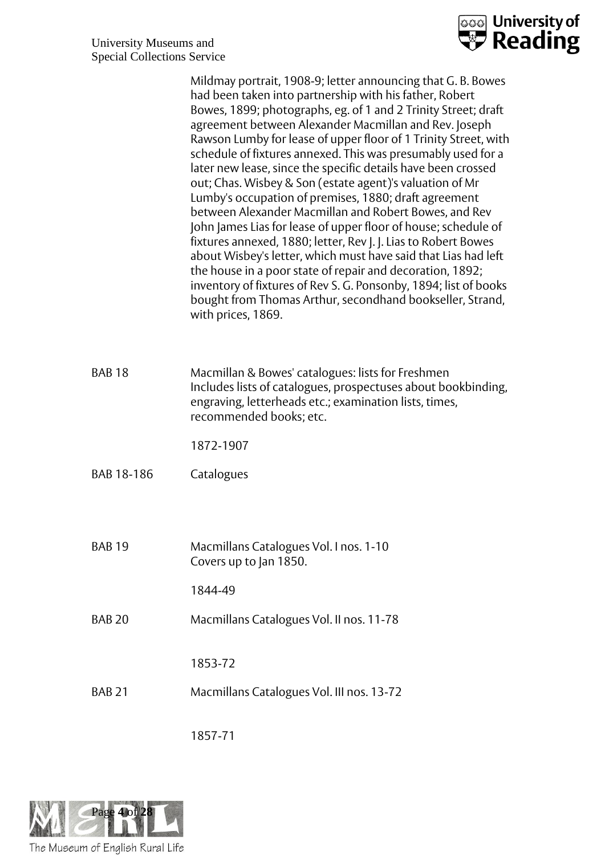

|               | Mildmay portrait, 1908-9; letter announcing that G. B. Bowes<br>had been taken into partnership with his father, Robert<br>Bowes, 1899; photographs, eg. of 1 and 2 Trinity Street; draft<br>agreement between Alexander Macmillan and Rev. Joseph<br>Rawson Lumby for lease of upper floor of 1 Trinity Street, with<br>schedule of fixtures annexed. This was presumably used for a<br>later new lease, since the specific details have been crossed<br>out; Chas. Wisbey & Son (estate agent)'s valuation of Mr<br>Lumby's occupation of premises, 1880; draft agreement<br>between Alexander Macmillan and Robert Bowes, and Rev<br>John James Lias for lease of upper floor of house; schedule of<br>fixtures annexed, 1880; letter, Rev J. J. Lias to Robert Bowes<br>about Wisbey's letter, which must have said that Lias had left<br>the house in a poor state of repair and decoration, 1892;<br>inventory of fixtures of Rev S. G. Ponsonby, 1894; list of books<br>bought from Thomas Arthur, secondhand bookseller, Strand,<br>with prices, 1869. |
|---------------|----------------------------------------------------------------------------------------------------------------------------------------------------------------------------------------------------------------------------------------------------------------------------------------------------------------------------------------------------------------------------------------------------------------------------------------------------------------------------------------------------------------------------------------------------------------------------------------------------------------------------------------------------------------------------------------------------------------------------------------------------------------------------------------------------------------------------------------------------------------------------------------------------------------------------------------------------------------------------------------------------------------------------------------------------------------|
| <b>BAB18</b>  | Macmillan & Bowes' catalogues: lists for Freshmen<br>Includes lists of catalogues, prospectuses about bookbinding,<br>engraving, letterheads etc.; examination lists, times,<br>recommended books; etc.                                                                                                                                                                                                                                                                                                                                                                                                                                                                                                                                                                                                                                                                                                                                                                                                                                                        |
|               | 1872-1907                                                                                                                                                                                                                                                                                                                                                                                                                                                                                                                                                                                                                                                                                                                                                                                                                                                                                                                                                                                                                                                      |
| BAB 18-186    | Catalogues                                                                                                                                                                                                                                                                                                                                                                                                                                                                                                                                                                                                                                                                                                                                                                                                                                                                                                                                                                                                                                                     |
|               |                                                                                                                                                                                                                                                                                                                                                                                                                                                                                                                                                                                                                                                                                                                                                                                                                                                                                                                                                                                                                                                                |
| <b>BAB 19</b> | Macmillans Catalogues Vol. I nos. 1-10<br>Covers up to Jan 1850.                                                                                                                                                                                                                                                                                                                                                                                                                                                                                                                                                                                                                                                                                                                                                                                                                                                                                                                                                                                               |
|               | 1844-49                                                                                                                                                                                                                                                                                                                                                                                                                                                                                                                                                                                                                                                                                                                                                                                                                                                                                                                                                                                                                                                        |
| <b>BAB 20</b> | Macmillans Catalogues Vol. II nos. 11-78                                                                                                                                                                                                                                                                                                                                                                                                                                                                                                                                                                                                                                                                                                                                                                                                                                                                                                                                                                                                                       |
|               | 1853-72                                                                                                                                                                                                                                                                                                                                                                                                                                                                                                                                                                                                                                                                                                                                                                                                                                                                                                                                                                                                                                                        |
| <b>BAB 21</b> | Macmillans Catalogues Vol. III nos. 13-72                                                                                                                                                                                                                                                                                                                                                                                                                                                                                                                                                                                                                                                                                                                                                                                                                                                                                                                                                                                                                      |
|               |                                                                                                                                                                                                                                                                                                                                                                                                                                                                                                                                                                                                                                                                                                                                                                                                                                                                                                                                                                                                                                                                |

1857-71

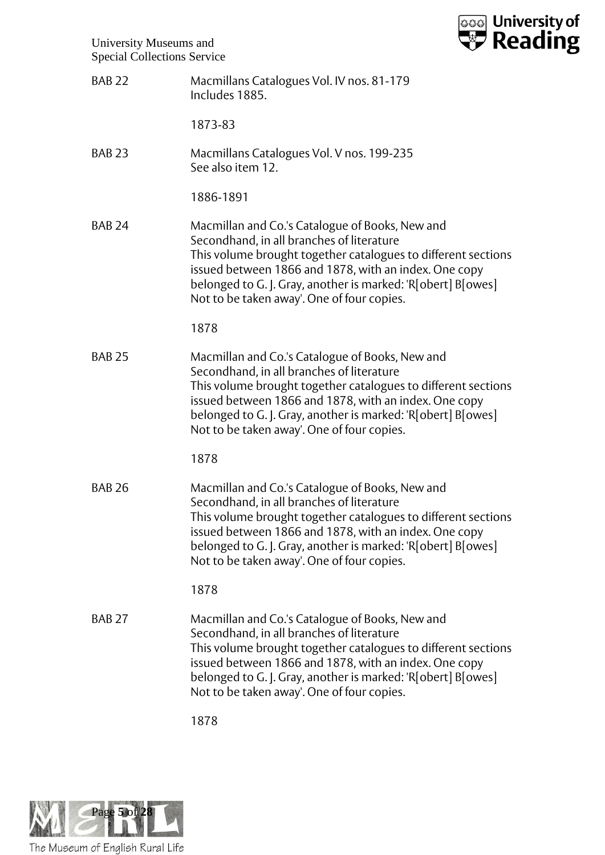

| BAB <sub>22</sub> | Macmillans Catalogues Vol. IV nos. 81-179 |
|-------------------|-------------------------------------------|
|                   | Includes 1885.                            |

1873-83

BAB 23 Macmillans Catalogues Vol. V nos. 199-235 See also item 12.

1886-1891

BAB 24 Macmillan and Co.'s Catalogue of Books, New and Secondhand, in all branches of literature This volume brought together catalogues to different sections issued between 1866 and 1878, with an index. One copy belonged to G. J. Gray, another is marked: 'R[obert] B[owes] Not to be taken away'. One of four copies.

1878

BAB 25 Macmillan and Co.'s Catalogue of Books, New and Secondhand, in all branches of literature This volume brought together catalogues to different sections issued between 1866 and 1878, with an index. One copy belonged to G. J. Gray, another is marked: 'R[obert] B[owes] Not to be taken away'. One of four copies.

1878

BAB 26 Macmillan and Co.'s Catalogue of Books, New and Secondhand, in all branches of literature This volume brought together catalogues to different sections issued between 1866 and 1878, with an index. One copy belonged to G. J. Gray, another is marked: 'R[obert] B[owes] Not to be taken away'. One of four copies.

1878

BAB 27 Macmillan and Co.'s Catalogue of Books, New and Secondhand, in all branches of literature This volume brought together catalogues to different sections issued between 1866 and 1878, with an index. One copy belonged to G. J. Gray, another is marked: 'R[obert] B[owes] Not to be taken away'. One of four copies.

1878

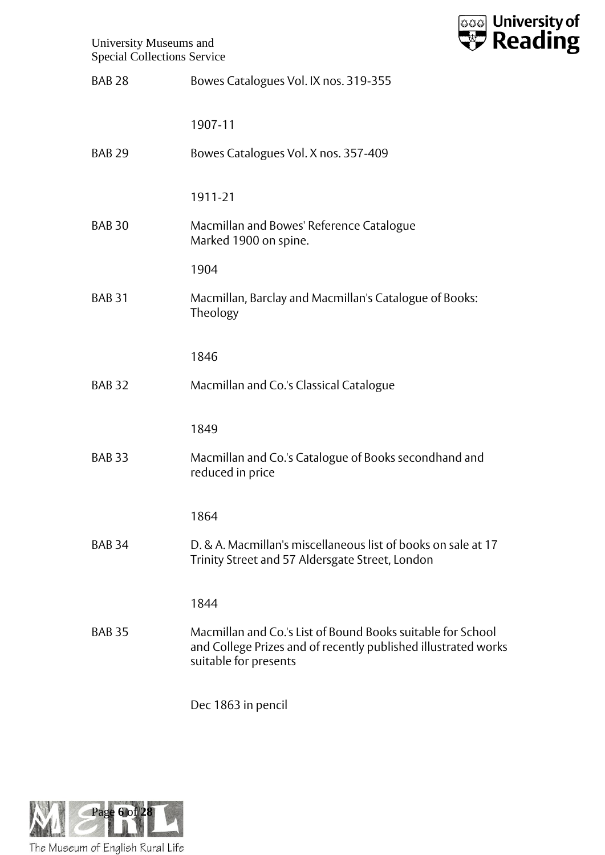

| <b>BAB 28</b>     | Bowes Catalogues Vol. IX nos. 319-355                                                                                                                  |
|-------------------|--------------------------------------------------------------------------------------------------------------------------------------------------------|
|                   | 1907-11                                                                                                                                                |
| <b>BAB 29</b>     | Bowes Catalogues Vol. X nos. 357-409                                                                                                                   |
|                   | 1911-21                                                                                                                                                |
| <b>BAB 30</b>     | Macmillan and Bowes' Reference Catalogue<br>Marked 1900 on spine.                                                                                      |
|                   | 1904                                                                                                                                                   |
| <b>BAB 31</b>     | Macmillan, Barclay and Macmillan's Catalogue of Books:<br>Theology                                                                                     |
|                   | 1846                                                                                                                                                   |
| <b>BAB 32</b>     | Macmillan and Co.'s Classical Catalogue                                                                                                                |
|                   | 1849                                                                                                                                                   |
| BAB <sub>33</sub> | Macmillan and Co.'s Catalogue of Books secondhand and<br>reduced in price                                                                              |
|                   | 1864                                                                                                                                                   |
| <b>BAB 34</b>     | D. & A. Macmillan's miscellaneous list of books on sale at 17<br>Trinity Street and 57 Aldersgate Street, London                                       |
|                   | 1844                                                                                                                                                   |
| <b>BAB 35</b>     | Macmillan and Co.'s List of Bound Books suitable for School<br>and College Prizes and of recently published illustrated works<br>suitable for presents |
|                   | Dec 1863 in pencil                                                                                                                                     |

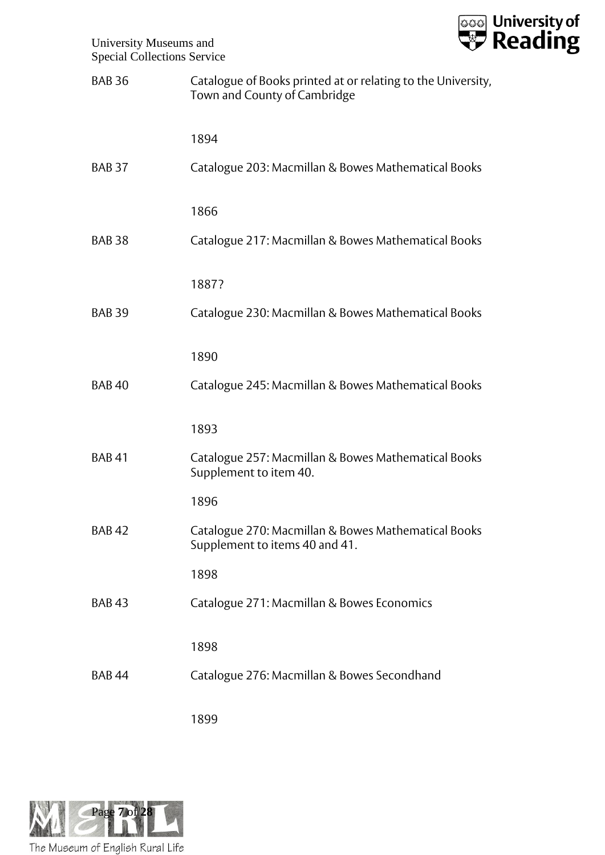

| <b>BAB 36</b> | Catalogue of Books printed at or relating to the University,<br>Town and County of Cambridge |
|---------------|----------------------------------------------------------------------------------------------|
|               | 1894                                                                                         |
| <b>BAB 37</b> | Catalogue 203: Macmillan & Bowes Mathematical Books                                          |
|               | 1866                                                                                         |
| <b>BAB 38</b> | Catalogue 217: Macmillan & Bowes Mathematical Books                                          |
|               | 1887?                                                                                        |
| <b>BAB 39</b> | Catalogue 230: Macmillan & Bowes Mathematical Books                                          |
|               | 1890                                                                                         |
| <b>BAB40</b>  | Catalogue 245: Macmillan & Bowes Mathematical Books                                          |
|               | 1893                                                                                         |
| <b>BAB41</b>  | Catalogue 257: Macmillan & Bowes Mathematical Books<br>Supplement to item 40.                |
|               | 1896                                                                                         |
| <b>BAB42</b>  | Catalogue 270: Macmillan & Bowes Mathematical Books<br>Supplement to items 40 and 41.        |
|               | 1898                                                                                         |
| <b>BAB43</b>  | Catalogue 271: Macmillan & Bowes Economics                                                   |
|               | 1898                                                                                         |
| <b>BAB44</b>  | Catalogue 276: Macmillan & Bowes Secondhand                                                  |
|               | 1899                                                                                         |

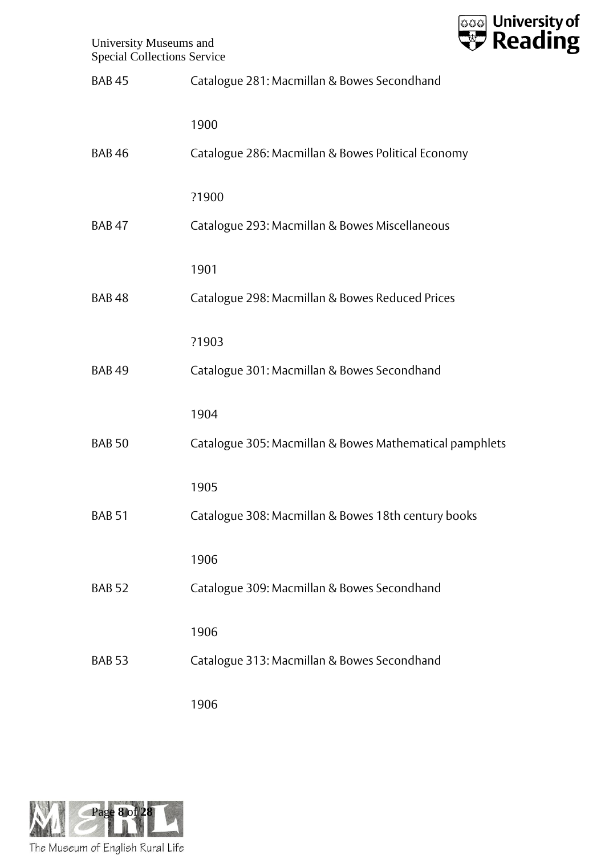

| <b>BAB45</b>  | Catalogue 281: Macmillan & Bowes Secondhand             |
|---------------|---------------------------------------------------------|
|               | 1900                                                    |
| <b>BAB46</b>  | Catalogue 286: Macmillan & Bowes Political Economy      |
|               | ?1900                                                   |
| <b>BAB47</b>  | Catalogue 293: Macmillan & Bowes Miscellaneous          |
|               | 1901                                                    |
| <b>BAB48</b>  | Catalogue 298: Macmillan & Bowes Reduced Prices         |
|               | ?1903                                                   |
| <b>BAB49</b>  | Catalogue 301: Macmillan & Bowes Secondhand             |
|               | 1904                                                    |
| <b>BAB 50</b> | Catalogue 305: Macmillan & Bowes Mathematical pamphlets |
|               | 1905                                                    |
| <b>BAB 51</b> | Catalogue 308: Macmillan & Bowes 18th century books     |
|               | 1906                                                    |
| <b>BAB 52</b> | Catalogue 309: Macmillan & Bowes Secondhand             |
|               | 1906                                                    |
| <b>BAB 53</b> | Catalogue 313: Macmillan & Bowes Secondhand             |
|               | 1906                                                    |

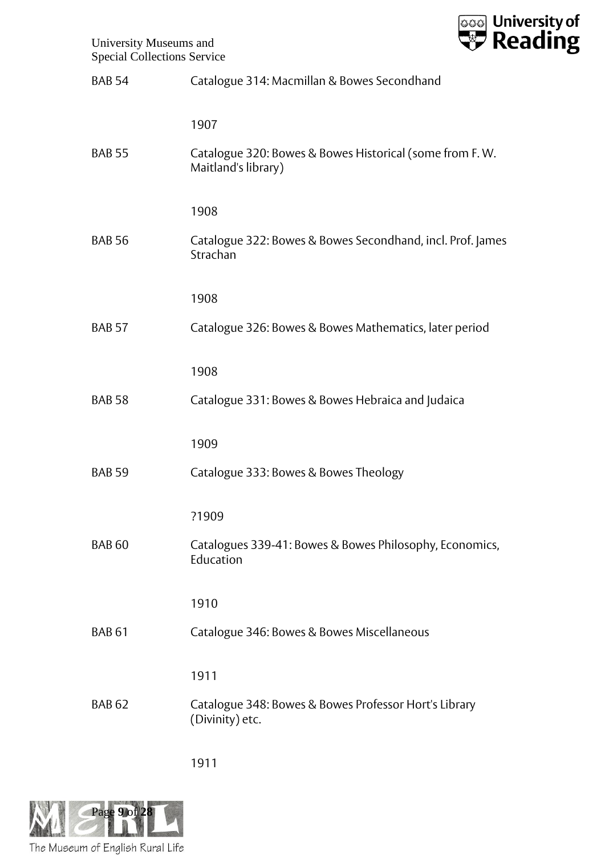

| <b>BAB 54</b> | Catalogue 314: Macmillan & Bowes Secondhand                                    |
|---------------|--------------------------------------------------------------------------------|
|               | 1907                                                                           |
| <b>BAB 55</b> | Catalogue 320: Bowes & Bowes Historical (some from F.W.<br>Maitland's library) |
|               | 1908                                                                           |
| <b>BAB 56</b> | Catalogue 322: Bowes & Bowes Secondhand, incl. Prof. James<br>Strachan         |
|               | 1908                                                                           |
| <b>BAB 57</b> | Catalogue 326: Bowes & Bowes Mathematics, later period                         |
|               | 1908                                                                           |
| <b>BAB 58</b> | Catalogue 331: Bowes & Bowes Hebraica and Judaica                              |
|               | 1909                                                                           |
| <b>BAB 59</b> | Catalogue 333: Bowes & Bowes Theology                                          |
|               | ?1909                                                                          |
| <b>BAB 60</b> | Catalogues 339-41: Bowes & Bowes Philosophy, Economics,<br>Education           |
|               | 1910                                                                           |
| <b>BAB 61</b> | Catalogue 346: Bowes & Bowes Miscellaneous                                     |
|               | 1911                                                                           |
| <b>BAB 62</b> | Catalogue 348: Bowes & Bowes Professor Hort's Library<br>(Divinity) etc.       |
|               |                                                                                |

1911

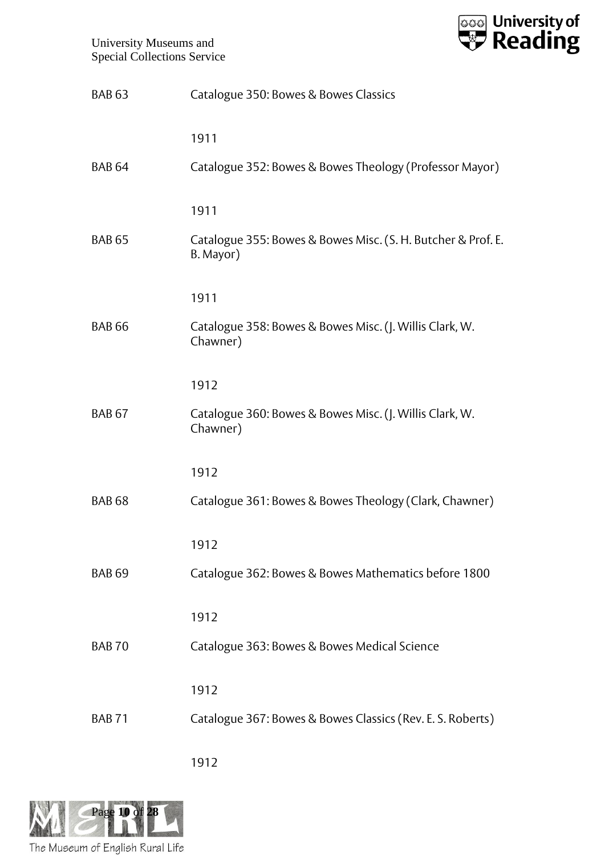

| <b>BAB 63</b> | Catalogue 350: Bowes & Bowes Classics                                     |
|---------------|---------------------------------------------------------------------------|
|               | 1911                                                                      |
| <b>BAB 64</b> | Catalogue 352: Bowes & Bowes Theology (Professor Mayor)                   |
|               | 1911                                                                      |
| <b>BAB 65</b> | Catalogue 355: Bowes & Bowes Misc. (S. H. Butcher & Prof. E.<br>B. Mayor) |
|               | 1911                                                                      |
| <b>BAB 66</b> | Catalogue 358: Bowes & Bowes Misc. (J. Willis Clark, W.<br>Chawner)       |
|               | 1912                                                                      |
| <b>BAB 67</b> | Catalogue 360: Bowes & Bowes Misc. (J. Willis Clark, W.<br>Chawner)       |
|               | 1912                                                                      |
| <b>BAB 68</b> | Catalogue 361: Bowes & Bowes Theology (Clark, Chawner)                    |
|               | 1912                                                                      |
| <b>BAB 69</b> | Catalogue 362: Bowes & Bowes Mathematics before 1800                      |
|               | 1912                                                                      |
| <b>BAB70</b>  | Catalogue 363: Bowes & Bowes Medical Science                              |
|               | 1912                                                                      |
| <b>BAB71</b>  | Catalogue 367: Bowes & Bowes Classics (Rev. E. S. Roberts)                |

1912

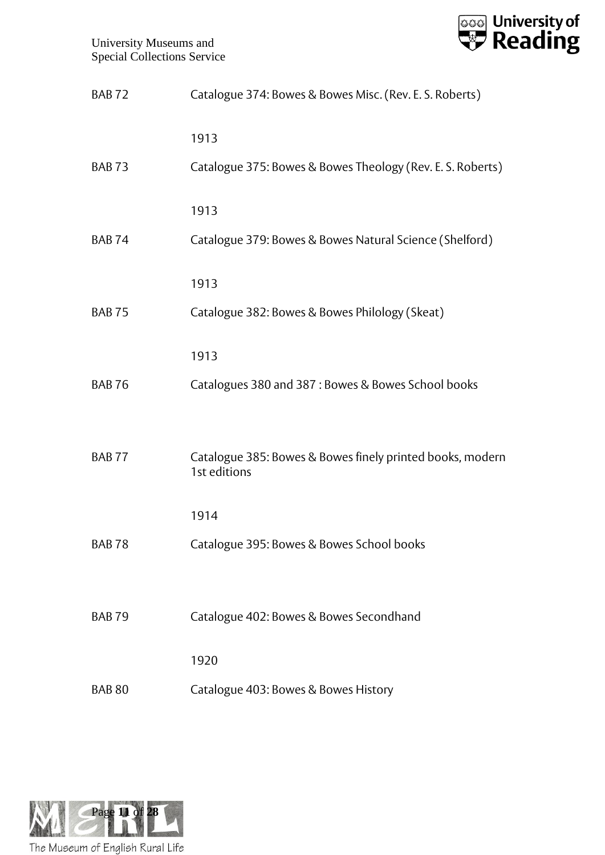

| <b>BAB72</b>  | Catalogue 374: Bowes & Bowes Misc. (Rev. E. S. Roberts)                   |
|---------------|---------------------------------------------------------------------------|
|               | 1913                                                                      |
| <b>BAB73</b>  | Catalogue 375: Bowes & Bowes Theology (Rev. E. S. Roberts)                |
|               | 1913                                                                      |
| <b>BAB74</b>  | Catalogue 379: Bowes & Bowes Natural Science (Shelford)                   |
|               | 1913                                                                      |
| <b>BAB75</b>  | Catalogue 382: Bowes & Bowes Philology (Skeat)                            |
|               | 1913                                                                      |
| <b>BAB76</b>  | Catalogues 380 and 387 : Bowes & Bowes School books                       |
|               |                                                                           |
| <b>BAB77</b>  | Catalogue 385: Bowes & Bowes finely printed books, modern<br>1st editions |
|               | 1914                                                                      |
| BAB 78        | Catalogue 395: Bowes & Bowes School books                                 |
|               |                                                                           |
| <b>BAB79</b>  | Catalogue 402: Bowes & Bowes Secondhand                                   |
|               | 1920                                                                      |
| <b>BAB 80</b> | Catalogue 403: Bowes & Bowes History                                      |
|               |                                                                           |

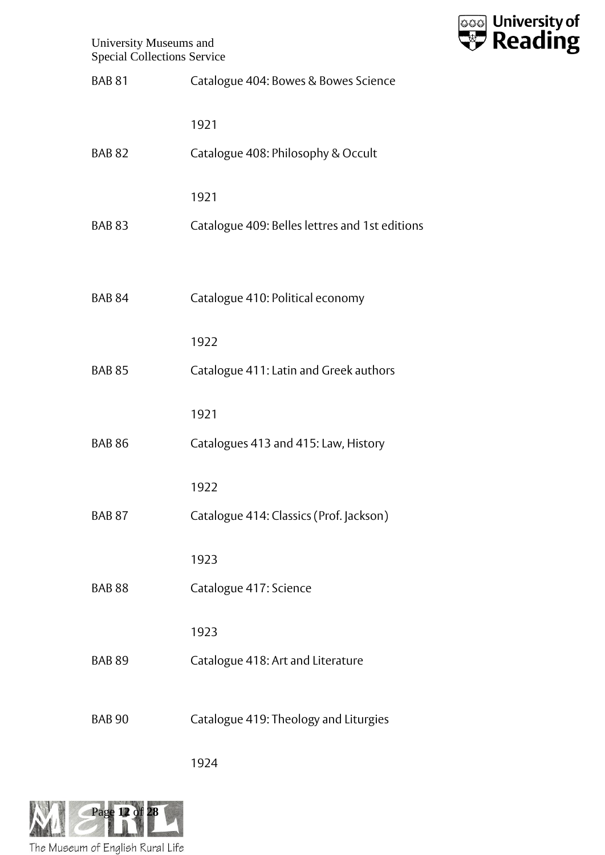

| <b>BAB 81</b>     | Catalogue 404: Bowes & Bowes Science           |
|-------------------|------------------------------------------------|
|                   | 1921                                           |
| <b>BAB 82</b>     | Catalogue 408: Philosophy & Occult             |
|                   | 1921                                           |
| <b>BAB 83</b>     | Catalogue 409: Belles lettres and 1st editions |
|                   |                                                |
| <b>BAB 84</b>     | Catalogue 410: Political economy               |
|                   | 1922                                           |
| <b>BAB 85</b>     | Catalogue 411: Latin and Greek authors         |
|                   | 1921                                           |
| <b>BAB 86</b>     | Catalogues 413 and 415: Law, History           |
|                   | 1922                                           |
| BAB <sub>87</sub> | Catalogue 414: Classics (Prof. Jackson)        |
|                   | 1923                                           |
| <b>BAB 88</b>     | Catalogue 417: Science                         |
|                   | 1923                                           |
| <b>BAB 89</b>     | Catalogue 418: Art and Literature              |
| <b>BAB 90</b>     | Catalogue 419: Theology and Liturgies          |
|                   |                                                |

1924

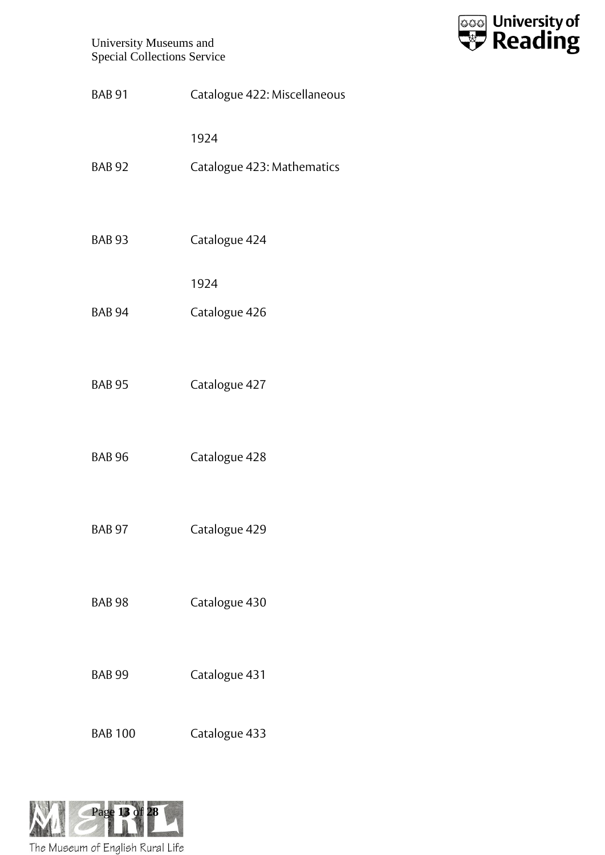

| <b>BAB 91</b>  | Catalogue 422: Miscellaneous |
|----------------|------------------------------|
|                | 1924                         |
| <b>BAB 92</b>  | Catalogue 423: Mathematics   |
|                |                              |
| <b>BAB 93</b>  | Catalogue 424                |
|                | 1924                         |
| <b>BAB 94</b>  | Catalogue 426                |
|                |                              |
| <b>BAB 95</b>  | Catalogue 427                |
|                |                              |
| <b>BAB 96</b>  | Catalogue 428                |
| <b>BAB 97</b>  | Catalogue 429                |
|                |                              |
| <b>BAB 98</b>  | Catalogue 430                |
|                |                              |
| <b>BAB 99</b>  | Catalogue 431                |
|                |                              |
| <b>BAB 100</b> | Catalogue 433                |

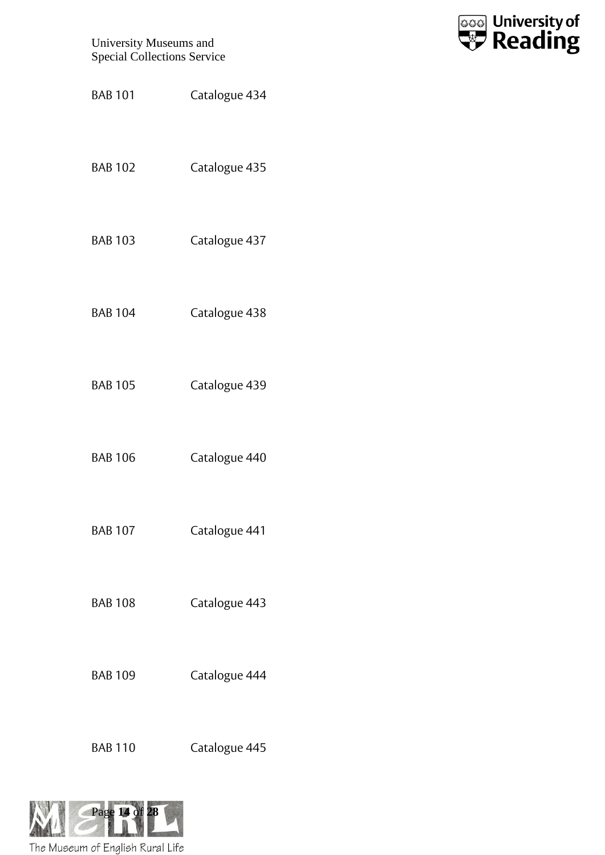

- BAB 102 Catalogue 435
- BAB 103 Catalogue 437
- BAB 104 Catalogue 438
- BAB 105 Catalogue 439
- BAB 106 Catalogue 440
- BAB 107 Catalogue 441
- BAB 108 Catalogue 443
- BAB 109 Catalogue 444
- BAB 110 Catalogue 445

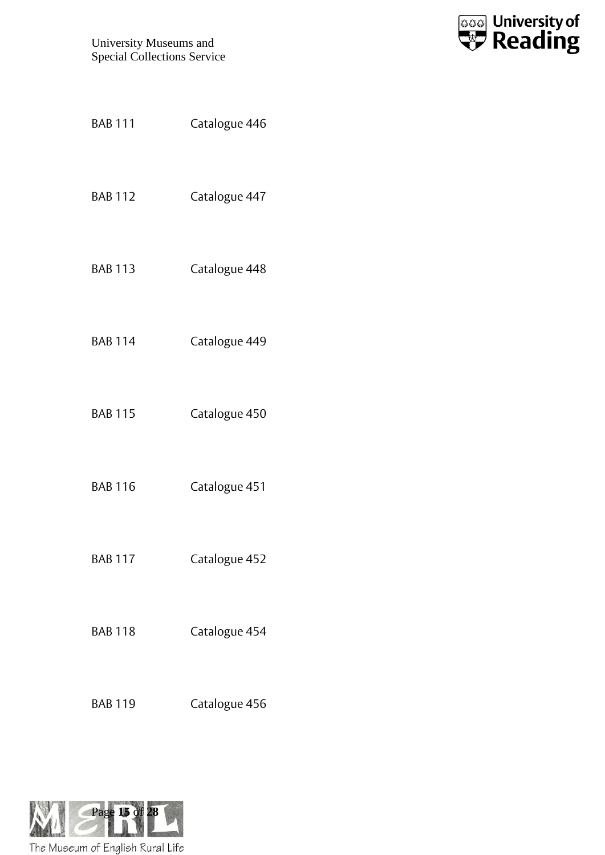

| <b>BAB 111</b> | Catalogue 446 |  |
|----------------|---------------|--|
| <b>BAB 112</b> | Catalogue 447 |  |
| <b>BAB 113</b> | Catalogue 448 |  |
| <b>BAB 114</b> | Catalogue 449 |  |
| <b>BAB 115</b> | Catalogue 450 |  |
| <b>BAB 116</b> | Catalogue 451 |  |
| <b>BAB 117</b> | Catalogue 452 |  |
| <b>BAB 118</b> | Catalogue 454 |  |
| <b>BAB 119</b> | Catalogue 456 |  |

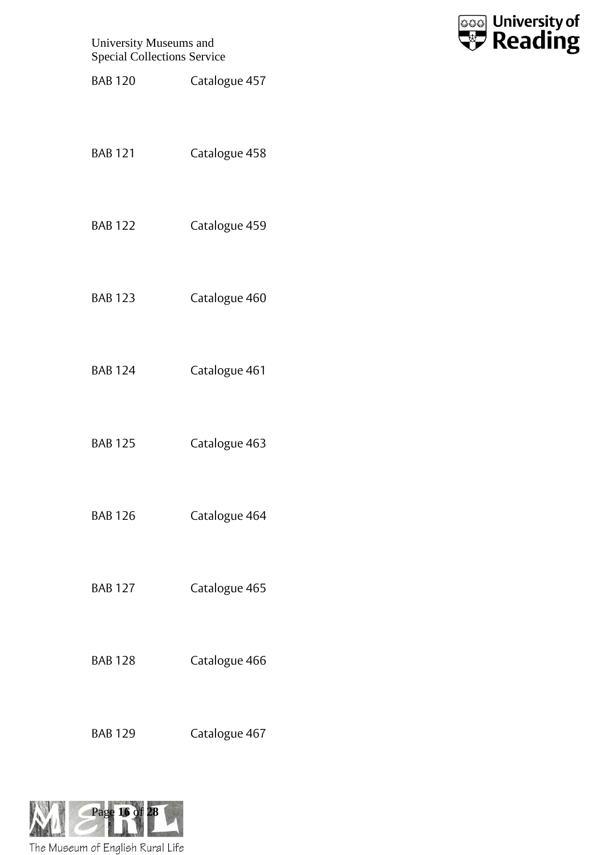

- BAB 120 Catalogue 457
- BAB 121 Catalogue 458
- BAB 122 Catalogue 459
- BAB 123 Catalogue 460
- BAB 124 Catalogue 461
- BAB 125 Catalogue 463
- BAB 126 Catalogue 464
- BAB 127 Catalogue 465
- BAB 128 Catalogue 466
- BAB 129 Catalogue 467

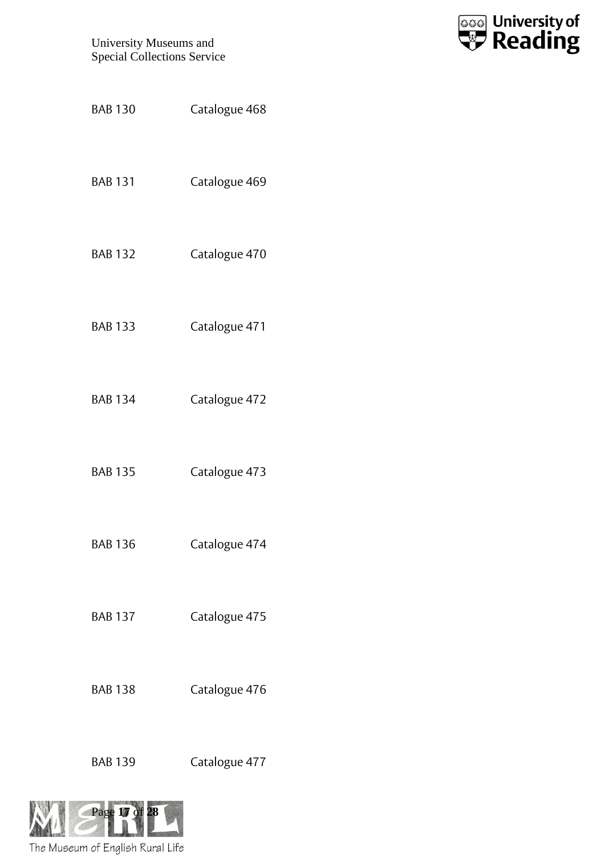

| <b>BAB 130</b> | Catalogue 468 |
|----------------|---------------|
| <b>BAB 131</b> | Catalogue 469 |
| <b>BAB 132</b> | Catalogue 470 |
| <b>BAB 133</b> | Catalogue 471 |
| <b>BAB 134</b> | Catalogue 472 |
| <b>BAB 135</b> | Catalogue 473 |
| <b>BAB 136</b> | Catalogue 474 |
| <b>BAB 137</b> | Catalogue 475 |
| <b>BAB 138</b> | Catalogue 476 |
| <b>BAB 139</b> | Catalogue 477 |
| Page 17 of 28  |               |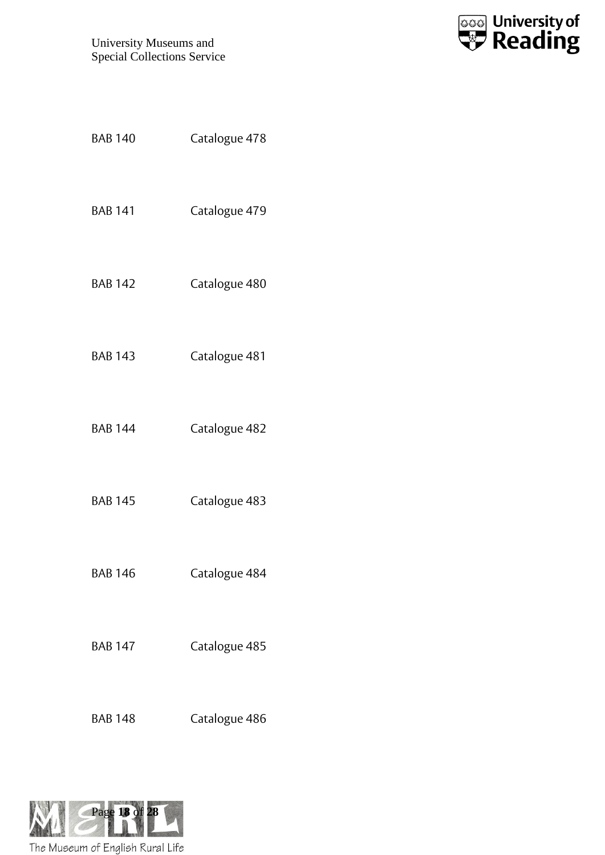

| <b>BAB 140</b> | Catalogue 478 |
|----------------|---------------|
| <b>BAB 141</b> | Catalogue 479 |
| <b>BAB 142</b> | Catalogue 480 |
| <b>BAB 143</b> | Catalogue 481 |
| <b>BAB 144</b> | Catalogue 482 |
| <b>BAB 145</b> | Catalogue 483 |
| <b>BAB 146</b> | Catalogue 484 |
| <b>BAB 147</b> | Catalogue 485 |
| <b>BAB 148</b> | Catalogue 486 |

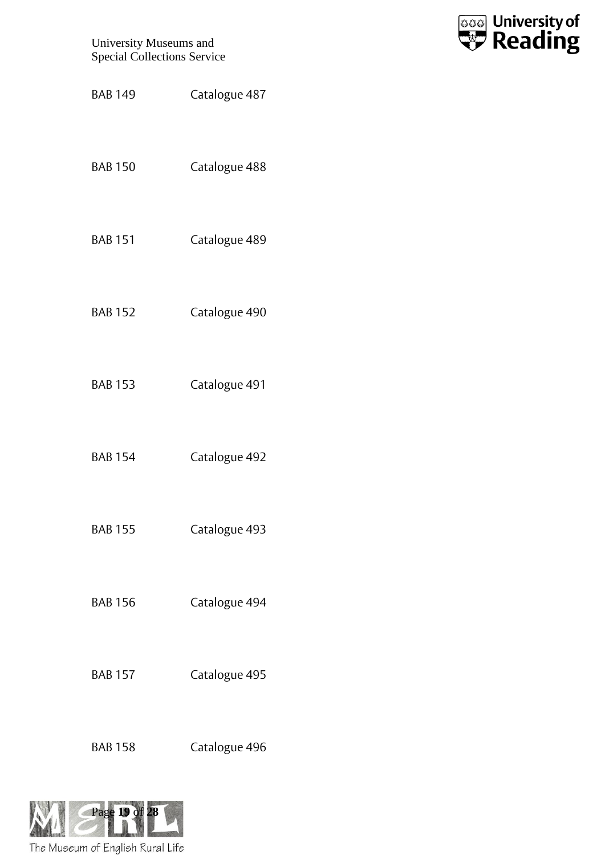

- BAB 149 Catalogue 487
- BAB 150 Catalogue 488
- BAB 151 Catalogue 489
- BAB 152 Catalogue 490
- BAB 153 Catalogue 491
- BAB 154 Catalogue 492
- BAB 155 Catalogue 493
- BAB 156 Catalogue 494
- BAB 157 Catalogue 495
- BAB 158 Catalogue 496

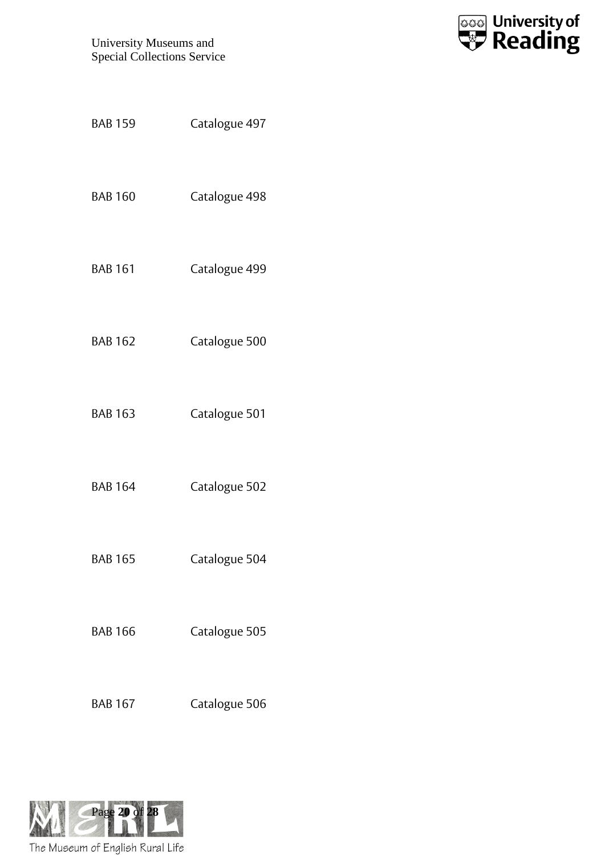![](_page_19_Picture_1.jpeg)

| <b>BAB 159</b> | Catalogue 497 |  |
|----------------|---------------|--|
| <b>BAB 160</b> | Catalogue 498 |  |
| <b>BAB 161</b> | Catalogue 499 |  |
| <b>BAB 162</b> | Catalogue 500 |  |
| <b>BAB 163</b> | Catalogue 501 |  |
| <b>BAB 164</b> | Catalogue 502 |  |
| <b>BAB 165</b> | Catalogue 504 |  |
| <b>BAB 166</b> | Catalogue 505 |  |
| <b>BAB 167</b> | Catalogue 506 |  |

![](_page_19_Picture_3.jpeg)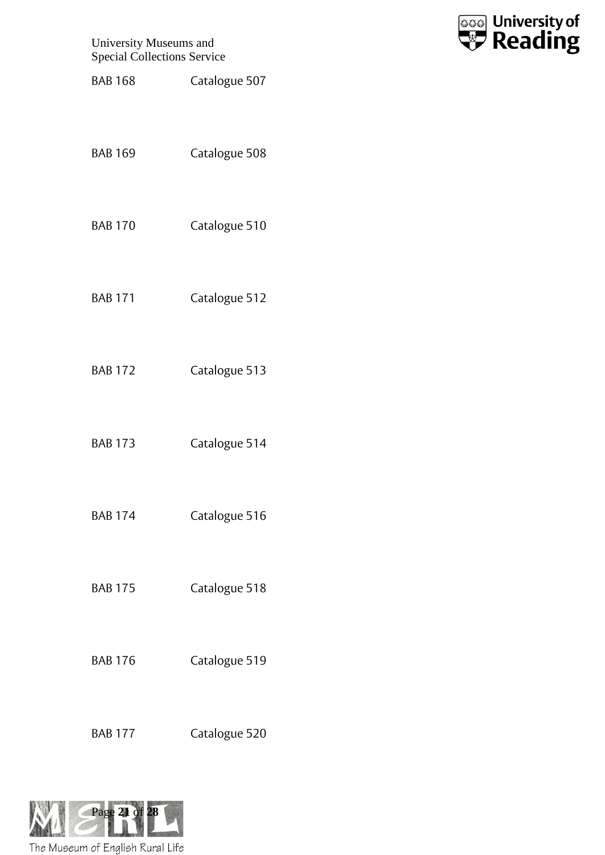![](_page_20_Picture_1.jpeg)

- BAB 168 Catalogue 507
- BAB 169 Catalogue 508
- BAB 170 Catalogue 510
- BAB 171 Catalogue 512
- BAB 172 Catalogue 513
- BAB 173 Catalogue 514
- BAB 174 Catalogue 516
- BAB 175 Catalogue 518
- BAB 176 Catalogue 519
- BAB 177 Catalogue 520

![](_page_20_Picture_12.jpeg)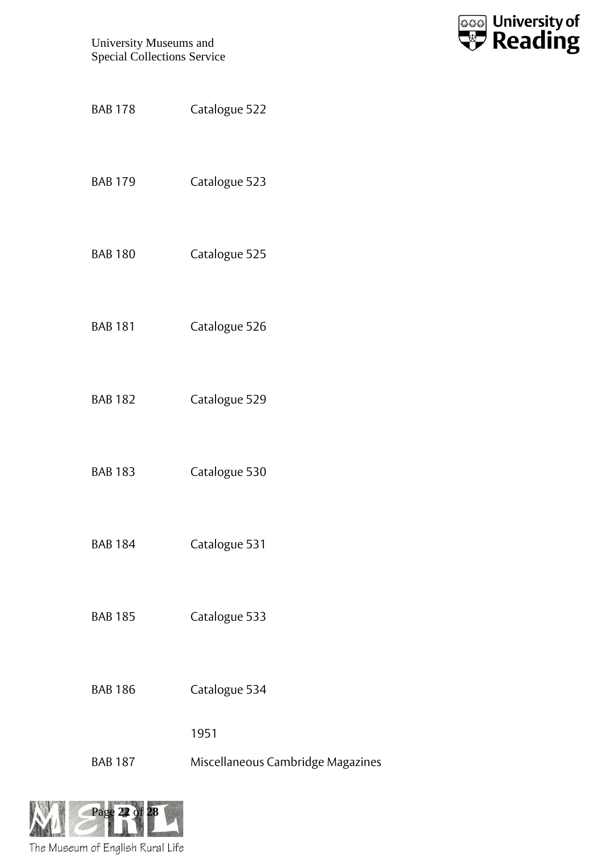![](_page_21_Picture_1.jpeg)

BAB 178 Catalogue 522 BAB 179 Catalogue 523 BAB 180 Catalogue 525 BAB 181 Catalogue 526 BAB 182 Catalogue 529 BAB 183 Catalogue 530 BAB 184 Catalogue 531 BAB 185 Catalogue 533 BAB 186 Catalogue 534 1951 BAB 187 Miscellaneous Cambridge Magazines

![](_page_21_Picture_3.jpeg)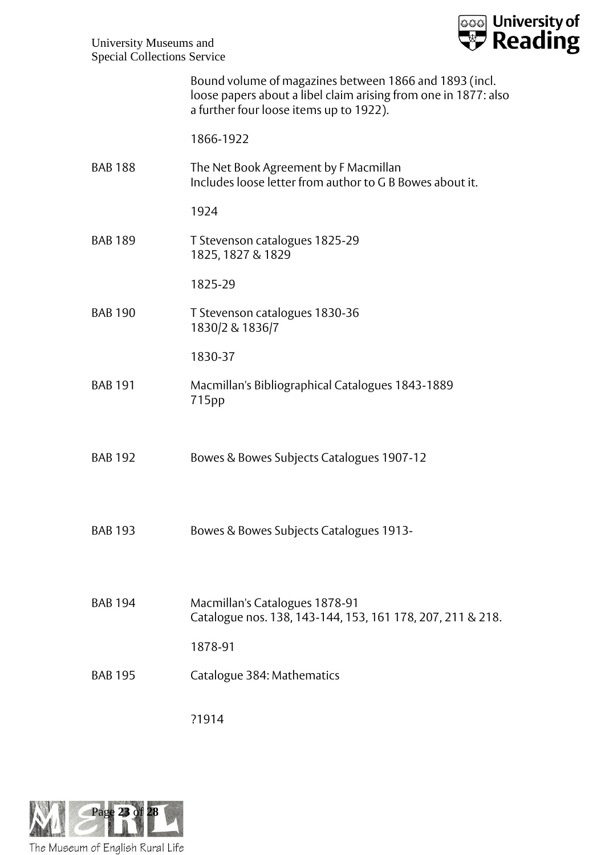![](_page_22_Picture_0.jpeg)

|                | Bound volume of magazines between 1866 and 1893 (incl.<br>loose papers about a libel claim arising from one in 1877: also<br>a further four loose items up to 1922). |
|----------------|----------------------------------------------------------------------------------------------------------------------------------------------------------------------|
|                | 1866-1922                                                                                                                                                            |
| <b>BAB 188</b> | The Net Book Agreement by F Macmillan<br>Includes loose letter from author to G B Bowes about it.                                                                    |
|                | 1924                                                                                                                                                                 |
| <b>BAB 189</b> | T Stevenson catalogues 1825-29<br>1825, 1827 & 1829                                                                                                                  |
|                | 1825-29                                                                                                                                                              |
| <b>BAB 190</b> | T Stevenson catalogues 1830-36<br>1830/2 & 1836/7                                                                                                                    |
|                | 1830-37                                                                                                                                                              |
| <b>BAB 191</b> | Macmillan's Bibliographical Catalogues 1843-1889<br>715pp                                                                                                            |
| <b>BAB 192</b> | Bowes & Bowes Subjects Catalogues 1907-12                                                                                                                            |
| <b>BAB 193</b> | Bowes & Bowes Subjects Catalogues 1913-                                                                                                                              |
| <b>BAB 194</b> | Macmillan's Catalogues 1878-91<br>Catalogue nos. 138, 143-144, 153, 161 178, 207, 211 & 218.                                                                         |
|                | 1878-91                                                                                                                                                              |
| <b>BAB 195</b> | Catalogue 384: Mathematics                                                                                                                                           |
|                | ?1914                                                                                                                                                                |

![](_page_22_Picture_3.jpeg)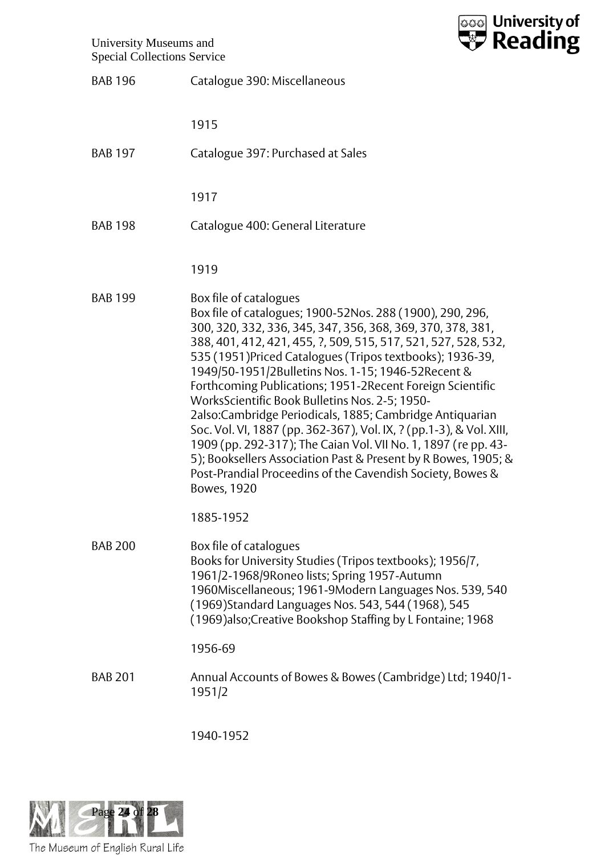![](_page_23_Picture_1.jpeg)

| <b>BAB 196</b> | Catalogue 390: Miscellaneous                                                                                                                                                                                                                                                                                                                                                                                                                                                                                                                                                                                                                                                                                                                                                                                |
|----------------|-------------------------------------------------------------------------------------------------------------------------------------------------------------------------------------------------------------------------------------------------------------------------------------------------------------------------------------------------------------------------------------------------------------------------------------------------------------------------------------------------------------------------------------------------------------------------------------------------------------------------------------------------------------------------------------------------------------------------------------------------------------------------------------------------------------|
|                | 1915                                                                                                                                                                                                                                                                                                                                                                                                                                                                                                                                                                                                                                                                                                                                                                                                        |
| <b>BAB 197</b> | Catalogue 397: Purchased at Sales                                                                                                                                                                                                                                                                                                                                                                                                                                                                                                                                                                                                                                                                                                                                                                           |
|                | 1917                                                                                                                                                                                                                                                                                                                                                                                                                                                                                                                                                                                                                                                                                                                                                                                                        |
| <b>BAB 198</b> | Catalogue 400: General Literature                                                                                                                                                                                                                                                                                                                                                                                                                                                                                                                                                                                                                                                                                                                                                                           |
|                | 1919                                                                                                                                                                                                                                                                                                                                                                                                                                                                                                                                                                                                                                                                                                                                                                                                        |
| <b>BAB 199</b> | Box file of catalogues<br>Box file of catalogues; 1900-52Nos. 288 (1900), 290, 296,<br>300, 320, 332, 336, 345, 347, 356, 368, 369, 370, 378, 381,<br>388, 401, 412, 421, 455, ?, 509, 515, 517, 521, 527, 528, 532,<br>535 (1951) Priced Catalogues (Tripos textbooks); 1936-39,<br>1949/50-1951/2Bulletins Nos. 1-15; 1946-52Recent &<br>Forthcoming Publications; 1951-2Recent Foreign Scientific<br>WorksScientific Book Bulletins Nos. 2-5; 1950-<br>2also:Cambridge Periodicals, 1885; Cambridge Antiquarian<br>Soc. Vol. VI, 1887 (pp. 362-367), Vol. IX, ? (pp. 1-3), & Vol. XIII,<br>1909 (pp. 292-317); The Caian Vol. VII No. 1, 1897 (re pp. 43-<br>5); Booksellers Association Past & Present by R Bowes, 1905; &<br>Post-Prandial Proceedins of the Cavendish Society, Bowes &<br>Bowes, 1920 |
|                | 1885-1952                                                                                                                                                                                                                                                                                                                                                                                                                                                                                                                                                                                                                                                                                                                                                                                                   |
| <b>BAB 200</b> | Box file of catalogues<br>Books for University Studies (Tripos textbooks); 1956/7,<br>1961/2-1968/9Roneo lists; Spring 1957-Autumn<br>1960Miscellaneous; 1961-9Modern Languages Nos. 539, 540<br>(1969) Standard Languages Nos. 543, 544 (1968), 545<br>(1969) also; Creative Bookshop Staffing by L Fontaine; 1968                                                                                                                                                                                                                                                                                                                                                                                                                                                                                         |
|                | 1956-69                                                                                                                                                                                                                                                                                                                                                                                                                                                                                                                                                                                                                                                                                                                                                                                                     |
| <b>BAB 201</b> | Annual Accounts of Bowes & Bowes (Cambridge) Ltd; 1940/1-<br>1951/2                                                                                                                                                                                                                                                                                                                                                                                                                                                                                                                                                                                                                                                                                                                                         |

1940-1952

![](_page_23_Picture_4.jpeg)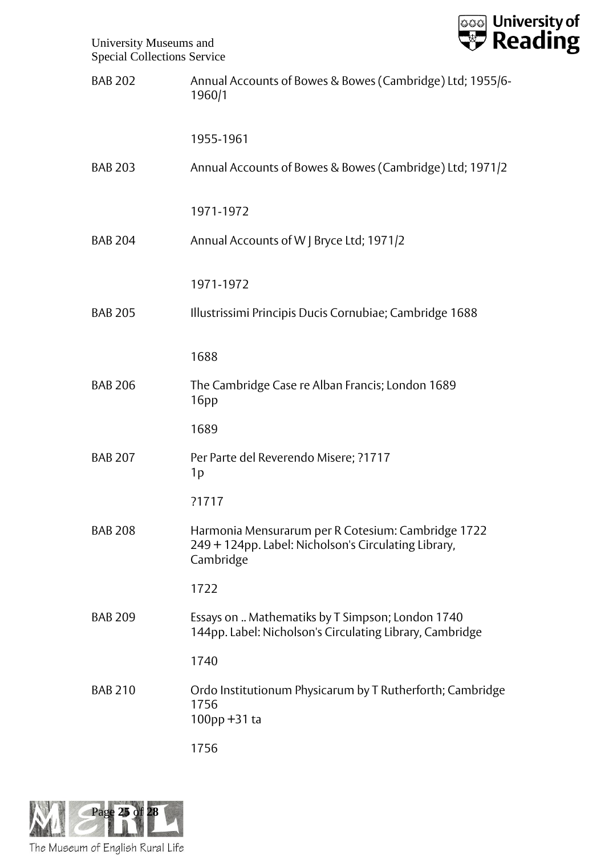![](_page_24_Picture_0.jpeg)

| <b>BAB 202</b> | Annual Accounts of Bowes & Bowes (Cambridge) Ltd; 1955/6-<br>1960/1                                                     |
|----------------|-------------------------------------------------------------------------------------------------------------------------|
|                | 1955-1961                                                                                                               |
| <b>BAB 203</b> | Annual Accounts of Bowes & Bowes (Cambridge) Ltd; 1971/2                                                                |
|                | 1971-1972                                                                                                               |
| <b>BAB 204</b> | Annual Accounts of W J Bryce Ltd; 1971/2                                                                                |
|                | 1971-1972                                                                                                               |
| <b>BAB 205</b> | Illustrissimi Principis Ducis Cornubiae; Cambridge 1688                                                                 |
|                | 1688                                                                                                                    |
| <b>BAB 206</b> | The Cambridge Case re Alban Francis; London 1689<br>16 <sub>pp</sub>                                                    |
|                | 1689                                                                                                                    |
| <b>BAB 207</b> | Per Parte del Reverendo Misere; ?1717<br>1p                                                                             |
|                | ?1717                                                                                                                   |
| <b>BAB 208</b> | Harmonia Mensurarum per R Cotesium: Cambridge 1722<br>249 + 124pp. Label: Nicholson's Circulating Library,<br>Cambridge |
|                | 1722                                                                                                                    |
| <b>BAB 209</b> | Essays on  Mathematiks by T Simpson; London 1740<br>144pp. Label: Nicholson's Circulating Library, Cambridge            |
|                | 1740                                                                                                                    |
| <b>BAB 210</b> | Ordo Institutionum Physicarum by T Rutherforth; Cambridge<br>1756<br>$100$ pp +31 ta                                    |
|                | 1756                                                                                                                    |

![](_page_24_Picture_3.jpeg)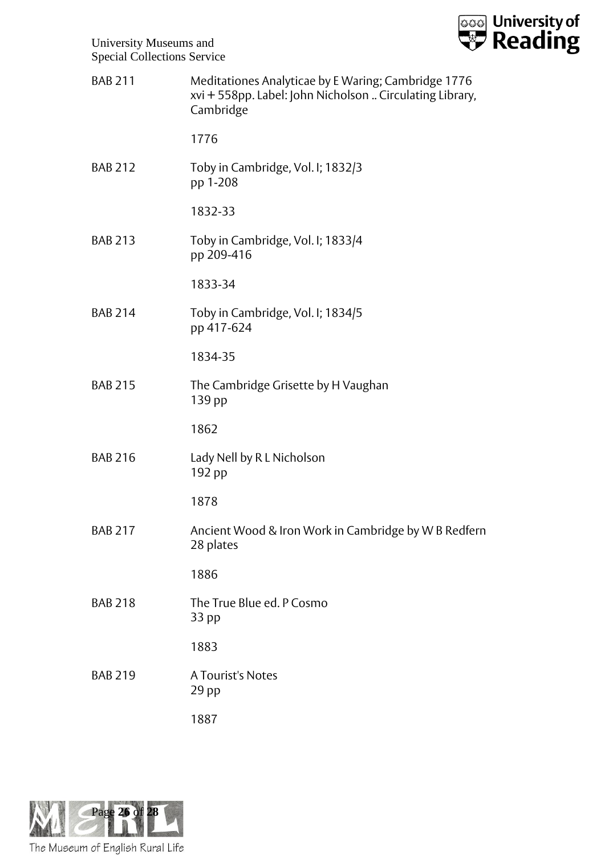![](_page_25_Picture_0.jpeg)

![](_page_25_Picture_1.jpeg)

| <b>BAB 211</b> | Meditationes Analyticae by E Waring; Cambridge 1776<br>xvi + 558pp. Label: John Nicholson  Circulating Library,<br>Cambridge |
|----------------|------------------------------------------------------------------------------------------------------------------------------|
|                | 1776                                                                                                                         |
| <b>BAB 212</b> | Toby in Cambridge, Vol. I; 1832/3<br>pp 1-208                                                                                |
|                | 1832-33                                                                                                                      |
| <b>BAB 213</b> | Toby in Cambridge, Vol. I; 1833/4<br>pp 209-416                                                                              |
|                | 1833-34                                                                                                                      |
| <b>BAB 214</b> | Toby in Cambridge, Vol. I; 1834/5<br>pp 417-624                                                                              |
|                | 1834-35                                                                                                                      |
| <b>BAB 215</b> | The Cambridge Grisette by H Vaughan<br>139 pp                                                                                |
|                | 1862                                                                                                                         |
| <b>BAB 216</b> | Lady Nell by R L Nicholson<br>192 pp                                                                                         |
|                | 1878                                                                                                                         |
| <b>BAB 217</b> | Ancient Wood & Iron Work in Cambridge by W B Redfern<br>28 plates                                                            |
|                | 1886                                                                                                                         |
| <b>BAB 218</b> | The True Blue ed. P Cosmo<br>33 pp                                                                                           |
|                | 1883                                                                                                                         |
| <b>BAB 219</b> | A Tourist's Notes<br>$29$ pp                                                                                                 |
|                | 1887                                                                                                                         |

![](_page_25_Picture_3.jpeg)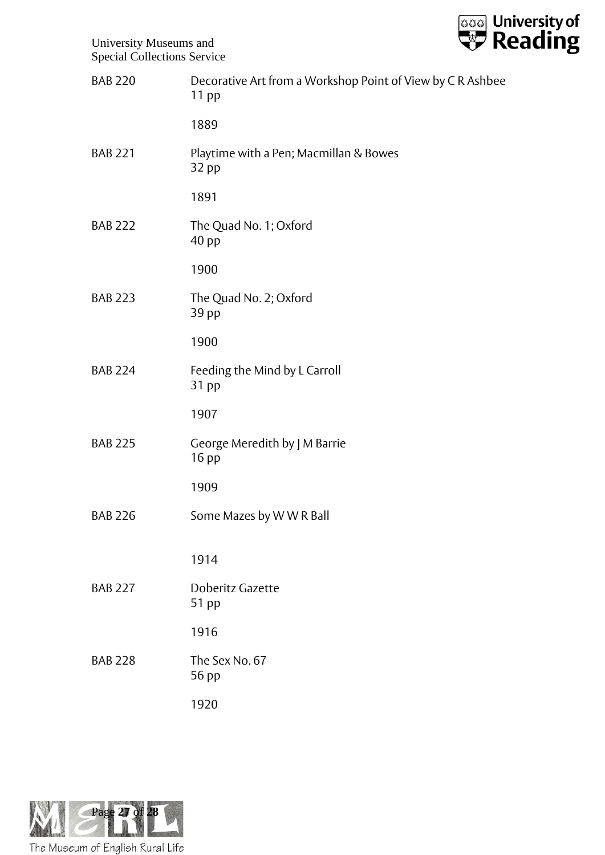![](_page_26_Picture_0.jpeg)

| <b>BAB 220</b> | Decorative Art from a Workshop Point of View by C R Ashbee<br>$11$ pp |
|----------------|-----------------------------------------------------------------------|
|                | 1889                                                                  |
| <b>BAB 221</b> | Playtime with a Pen; Macmillan & Bowes<br>32 pp                       |
|                | 1891                                                                  |
| <b>BAB 222</b> | The Quad No. 1; Oxford<br>40 pp                                       |
|                | 1900                                                                  |
| <b>BAB 223</b> | The Quad No. 2; Oxford<br>39 pp                                       |
|                | 1900                                                                  |
| <b>BAB 224</b> | Feeding the Mind by L Carroll<br>31 pp                                |
|                | 1907                                                                  |
| <b>BAB 225</b> | George Meredith by J M Barrie<br>16 pp                                |
|                | 1909                                                                  |
| <b>BAB 226</b> | Some Mazes by WWR Ball                                                |
|                | 1914                                                                  |
| <b>BAB 227</b> | Doberitz Gazette<br>51 pp                                             |
|                | 1916                                                                  |
| <b>BAB 228</b> | The Sex No. 67<br>56 pp                                               |
|                | 1920                                                                  |

![](_page_26_Picture_3.jpeg)